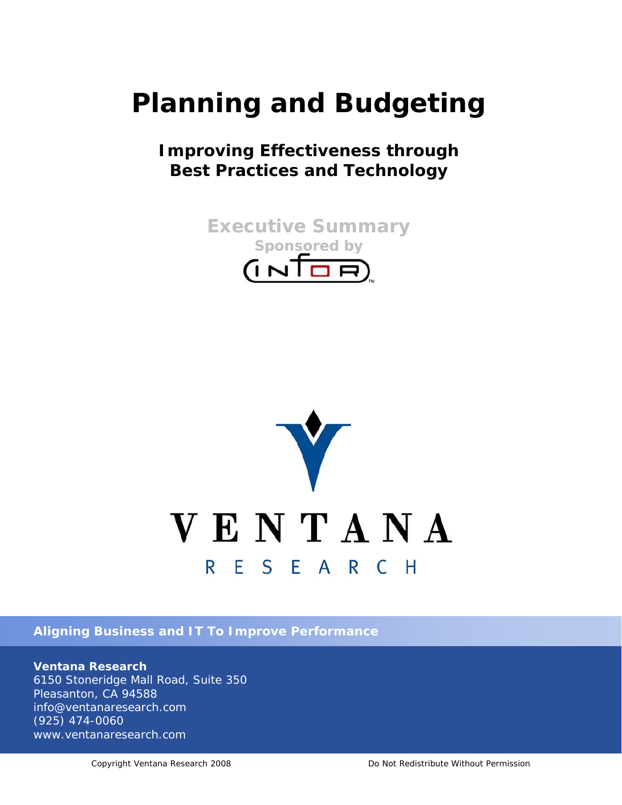# **Planning and Budgeting**

# **Improving Effectiveness through Best Practices and Technology**





*Aligning Business and IT To Improve Performance*

*Ventana Research 6150 Stoneridge Mall Road, Suite 350 Pleasanton, CA 94588 info@ventanaresearch.com (925) 474-0060 www.ventanaresearch.com*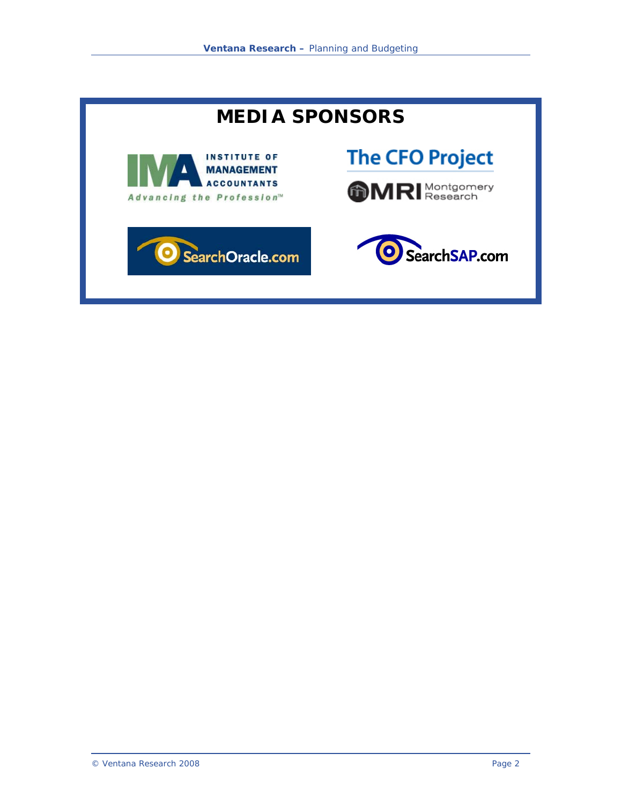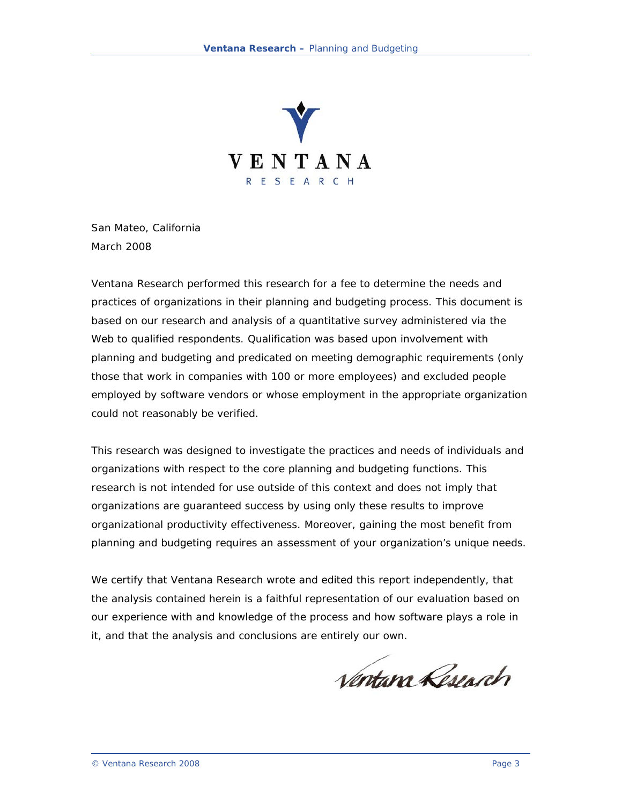

San Mateo, California March 2008

Ventana Research performed this research for a fee to determine the needs and practices of organizations in their planning and budgeting process. This document is based on our research and analysis of a quantitative survey administered via the Web to qualified respondents. Qualification was based upon involvement with planning and budgeting and predicated on meeting demographic requirements (only those that work in companies with 100 or more employees) and excluded people employed by software vendors or whose employment in the appropriate organization could not reasonably be verified.

This research was designed to investigate the practices and needs of individuals and organizations with respect to the core planning and budgeting functions. This research is not intended for use outside of this context and does not imply that organizations are guaranteed success by using only these results to improve organizational productivity effectiveness. Moreover, gaining the most benefit from planning and budgeting requires an assessment of your organization's unique needs.

We certify that Ventana Research wrote and edited this report independently, that the analysis contained herein is a faithful representation of our evaluation based on our experience with and knowledge of the process and how software plays a role in it, and that the analysis and conclusions are entirely our own.

Ventana Research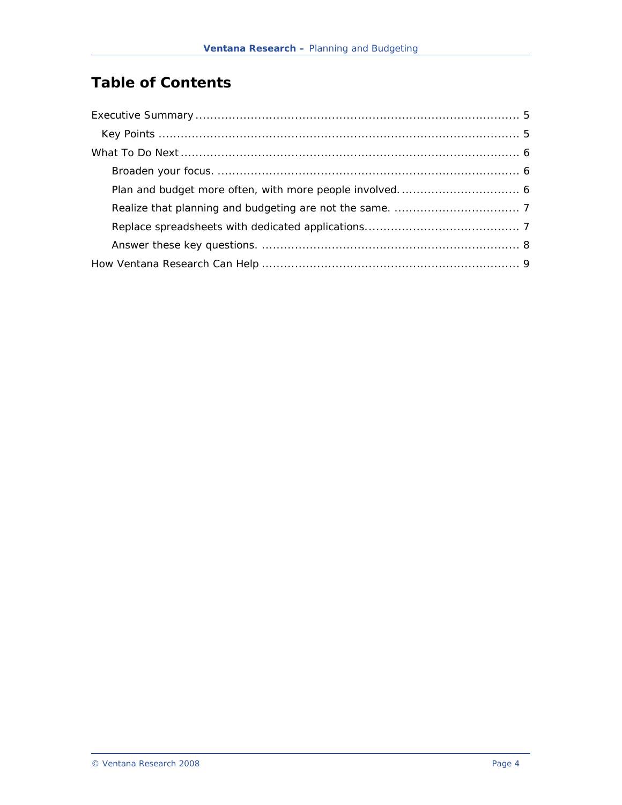# **Table of Contents**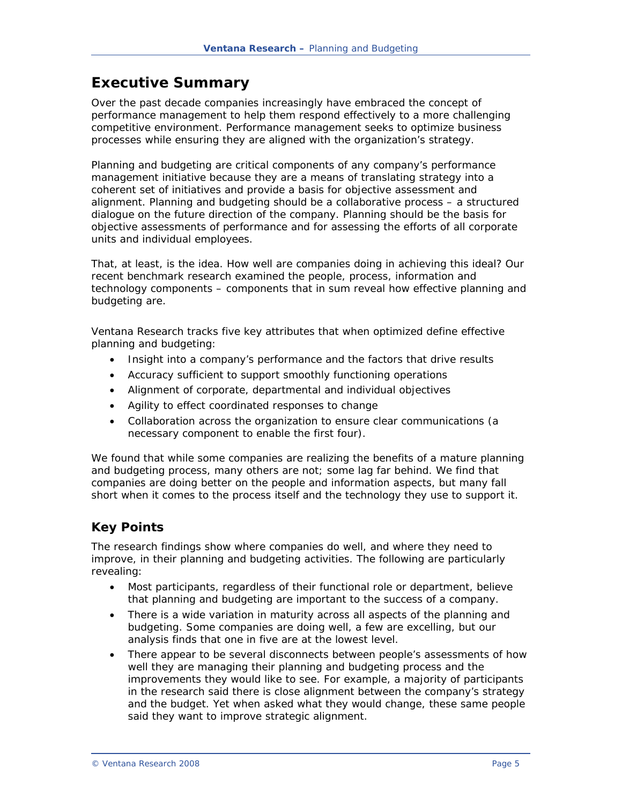# <span id="page-4-0"></span>**Executive Summary**

Over the past decade companies increasingly have embraced the concept of performance management to help them respond effectively to a more challenging competitive environment. Performance management seeks to optimize business processes while ensuring they are aligned with the organization's strategy.

Planning and budgeting are critical components of any company's performance management initiative because they are a means of translating strategy into a coherent set of initiatives and provide a basis for objective assessment and alignment. Planning and budgeting should be a collaborative process – a structured dialogue on the future direction of the company. Planning should be the basis for objective assessments of performance and for assessing the efforts of all corporate units and individual employees.

That, at least, is the idea. How well are companies doing in achieving this ideal? Our recent benchmark research examined the people, process, information and technology components – components that in sum reveal how effective planning and budgeting are.

Ventana Research tracks five key attributes that when optimized define effective planning and budgeting:

- Insight into a company's performance and the factors that drive results
- Accuracy sufficient to support smoothly functioning operations
- Alignment of corporate, departmental and individual objectives
- Agility to effect coordinated responses to change
- Collaboration across the organization to ensure clear communications (a necessary component to enable the first four).

We found that while some companies are realizing the benefits of a mature planning and budgeting process, many others are not; some lag far behind. We find that companies are doing better on the people and information aspects, but many fall short when it comes to the process itself and the technology they use to support it.

### *Key Points*

The research findings show where companies do well, and where they need to improve, in their planning and budgeting activities. The following are particularly revealing:

- Most participants, regardless of their functional role or department, believe that planning and budgeting are important to the success of a company.
- There is a wide variation in maturity across all aspects of the planning and budgeting. Some companies are doing well, a few are excelling, but our analysis finds that one in five are at the lowest level.
- There appear to be several disconnects between people's assessments of how well they are managing their planning and budgeting process and the improvements they would like to see. For example, a majority of participants in the research said there is close alignment between the company's strategy and the budget. Yet when asked what they would change, these same people said they want to improve strategic alignment.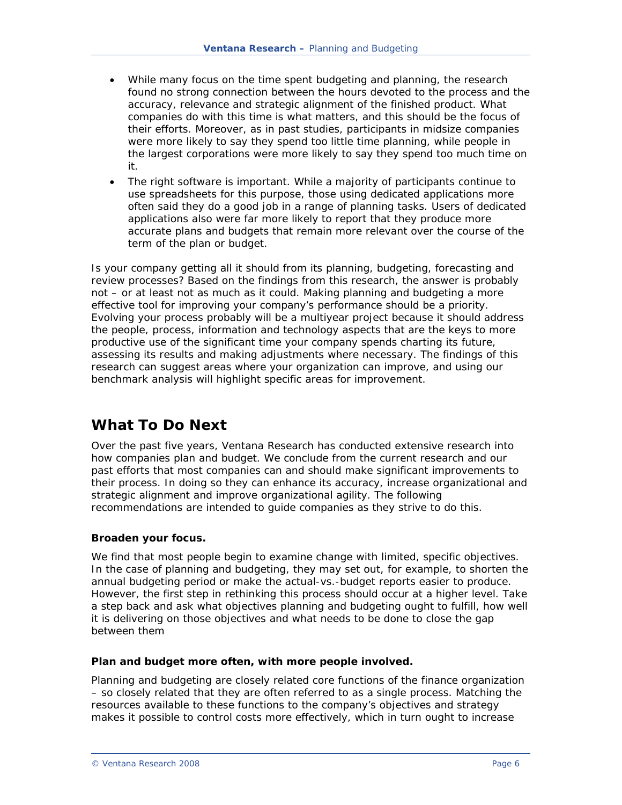- <span id="page-5-0"></span>• While many focus on the time spent budgeting and planning, the research found no strong connection between the hours devoted to the process and the accuracy, relevance and strategic alignment of the finished product. What companies do with this time is what matters, and this should be the focus of their efforts. Moreover, as in past studies, participants in midsize companies were more likely to say they spend too little time planning, while people in the largest corporations were more likely to say they spend too much time on it.
- The right software is important. While a majority of participants continue to use spreadsheets for this purpose, those using dedicated applications more often said they do a good job in a range of planning tasks. Users of dedicated applications also were far more likely to report that they produce more accurate plans and budgets that remain more relevant over the course of the term of the plan or budget.

Is your company getting all it should from its planning, budgeting, forecasting and review processes? Based on the findings from this research, the answer is probably not – or at least not as much as it could. Making planning and budgeting a more effective tool for improving your company's performance should be a priority. Evolving your process probably will be a multiyear project because it should address the people, process, information and technology aspects that are the keys to more productive use of the significant time your company spends charting its future, assessing its results and making adjustments where necessary. The findings of this research can suggest areas where your organization can improve, and using our benchmark analysis will highlight specific areas for improvement.

## **What To Do Next**

Over the past five years, Ventana Research has conducted extensive research into how companies plan and budget. We conclude from the current research and our past efforts that most companies can and should make significant improvements to their process. In doing so they can enhance its accuracy, increase organizational and strategic alignment and improve organizational agility. The following recommendations are intended to guide companies as they strive to do this.

#### **Broaden your focus.**

We find that most people begin to examine change with limited, specific objectives. In the case of planning and budgeting, they may set out, for example, to shorten the annual budgeting period or make the actual-vs.-budget reports easier to produce. However, the first step in rethinking this process should occur at a higher level. Take a step back and ask what objectives planning and budgeting ought to fulfill, how well it is delivering on those objectives and what needs to be done to close the gap between them

#### **Plan and budget more often, with more people involved.**

Planning and budgeting are closely related core functions of the finance organization – so closely related that they are often referred to as a single process. Matching the resources available to these functions to the company's objectives and strategy makes it possible to control costs more effectively, which in turn ought to increase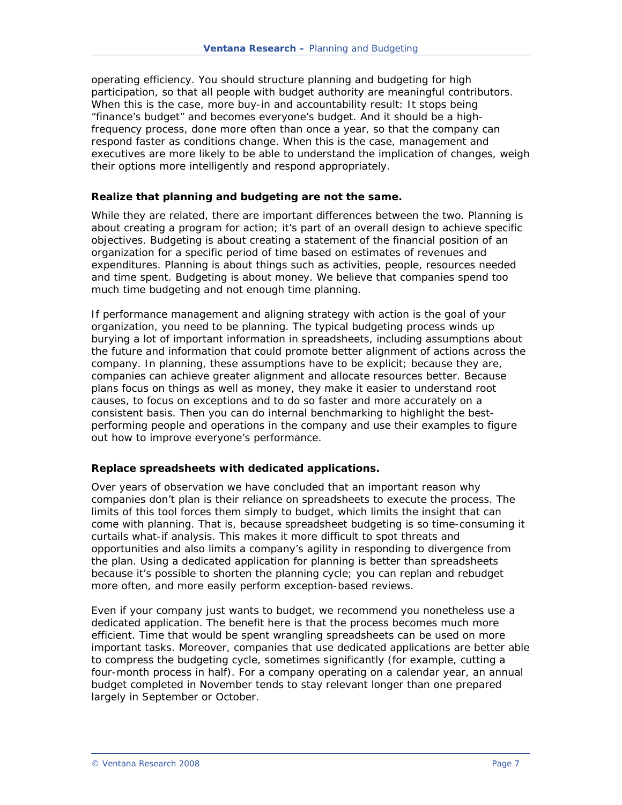<span id="page-6-0"></span>operating efficiency. You should structure planning and budgeting for high participation, so that all people with budget authority are meaningful contributors. When this is the case, more buy-in and accountability result: It stops being "finance's budget" and becomes everyone's budget. And it should be a highfrequency process, done more often than once a year, so that the company can respond faster as conditions change. When this is the case, management and executives are more likely to be able to understand the implication of changes, weigh their options more intelligently and respond appropriately.

#### **Realize that planning and budgeting are not the same.**

While they are related, there are important differences between the two. Planning is about creating a program for action; it's part of an overall design to achieve specific objectives. Budgeting is about creating a statement of the financial position of an organization for a specific period of time based on estimates of revenues and expenditures. Planning is about things such as activities, people, resources needed and time spent. Budgeting is about money. We believe that companies spend too much time budgeting and not enough time planning.

If performance management and aligning strategy with action is the goal of your organization, you need to be planning. The typical budgeting process winds up burying a lot of important information in spreadsheets, including assumptions about the future and information that could promote better alignment of actions across the company. In planning, these assumptions have to be explicit; because they are, companies can achieve greater alignment and allocate resources better. Because plans focus on things as well as money, they make it easier to understand root causes, to focus on exceptions and to do so faster and more accurately on a consistent basis. Then you can do internal benchmarking to highlight the bestperforming people and operations in the company and use their examples to figure out how to improve everyone's performance.

#### **Replace spreadsheets with dedicated applications.**

Over years of observation we have concluded that an important reason why companies don't plan is their reliance on spreadsheets to execute the process. The limits of this tool forces them simply to budget, which limits the insight that can come with planning. That is, because spreadsheet budgeting is so time-consuming it curtails what-if analysis. This makes it more difficult to spot threats and opportunities and also limits a company's agility in responding to divergence from the plan. Using a dedicated application for planning is better than spreadsheets because it's possible to shorten the planning cycle; you can replan and rebudget more often, and more easily perform exception-based reviews.

Even if your company just wants to budget, we recommend you nonetheless use a dedicated application. The benefit here is that the process becomes much more efficient. Time that would be spent wrangling spreadsheets can be used on more important tasks. Moreover, companies that use dedicated applications are better able to compress the budgeting cycle, sometimes significantly (for example, cutting a four-month process in half). For a company operating on a calendar year, an annual budget completed in November tends to stay relevant longer than one prepared largely in September or October.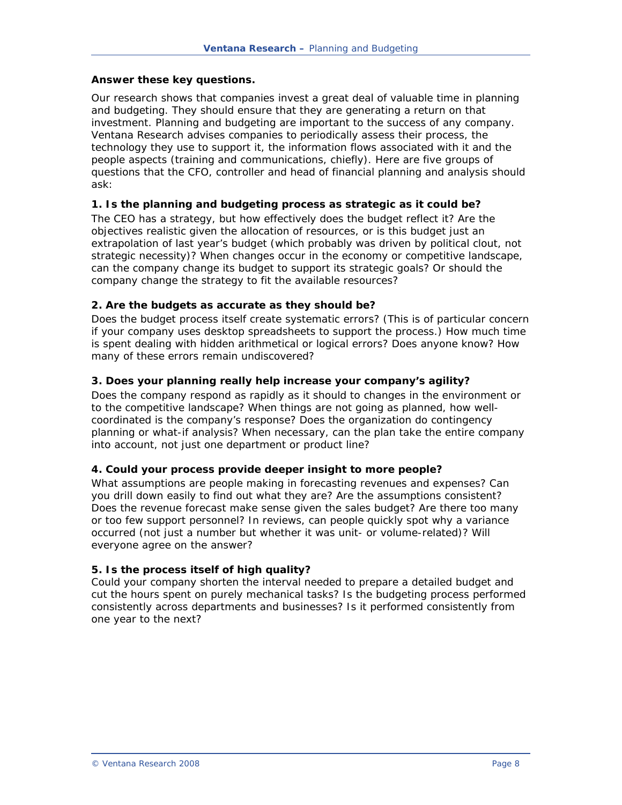#### <span id="page-7-0"></span>**Answer these key questions.**

Our research shows that companies invest a great deal of valuable time in planning and budgeting. They should ensure that they are generating a return on that investment. Planning and budgeting are important to the success of any company. Ventana Research advises companies to periodically assess their process, the technology they use to support it, the information flows associated with it and the people aspects (training and communications, chiefly). Here are five groups of questions that the CFO, controller and head of financial planning and analysis should ask:

#### **1. Is the planning and budgeting process as strategic as it could be?**

The CEO has a strategy, but how effectively does the budget reflect it? Are the objectives realistic given the allocation of resources, or is this budget just an extrapolation of last year's budget (which probably was driven by political clout, not strategic necessity)? When changes occur in the economy or competitive landscape, can the company change its budget to support its strategic goals? Or should the company change the strategy to fit the available resources?

#### **2. Are the budgets as accurate as they should be?**

Does the budget process itself create systematic errors? (This is of particular concern if your company uses desktop spreadsheets to support the process.) How much time is spent dealing with hidden arithmetical or logical errors? Does anyone know? How many of these errors remain undiscovered?

#### **3. Does your planning really help increase your company's agility?**

Does the company respond as rapidly as it should to changes in the environment or to the competitive landscape? When things are not going as planned, how wellcoordinated is the company's response? Does the organization do contingency planning or what-if analysis? When necessary, can the plan take the entire company into account, not just one department or product line?

#### **4. Could your process provide deeper insight to more people?**

What assumptions are people making in forecasting revenues and expenses? Can you drill down easily to find out what they are? Are the assumptions consistent? Does the revenue forecast make sense given the sales budget? Are there too many or too few support personnel? In reviews, can people quickly spot why a variance occurred (not just a number but whether it was unit- or volume-related)? Will everyone agree on the answer?

#### **5. Is the process itself of high quality?**

Could your company shorten the interval needed to prepare a detailed budget and cut the hours spent on purely mechanical tasks? Is the budgeting process performed consistently across departments and businesses? Is it performed consistently from one year to the next?